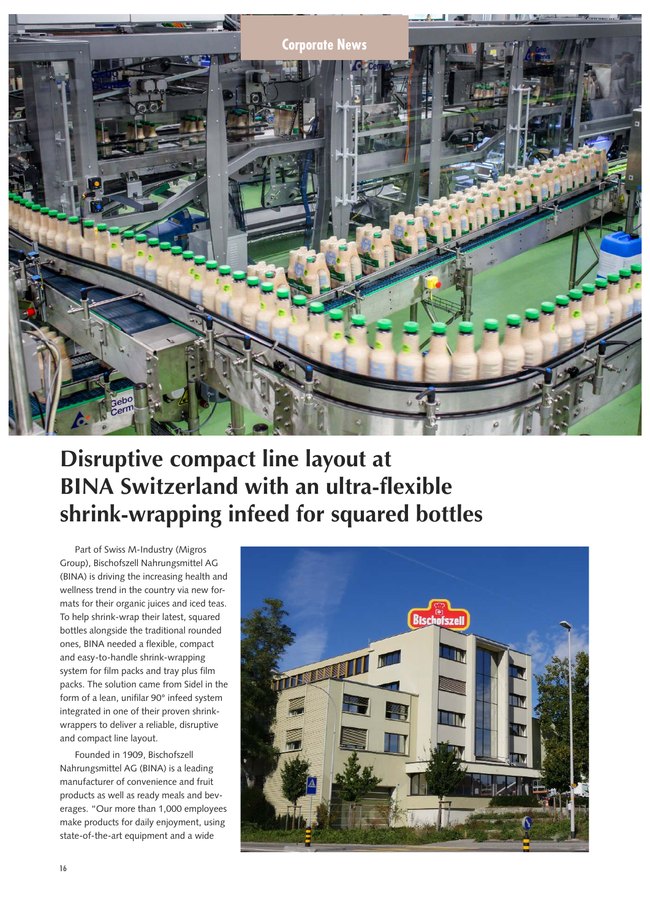

## **Disruptive compact line layout at BINA Switzerland with an ultra-flexible shrink-wrapping infeed for squared bottles**

Part of Swiss M-Industry (Migros Group), Bischofszell Nahrungsmittel AG (BINA) is driving the increasing health and wellness trend in the country via new formats for their organic juices and iced teas. To help shrink-wrap their latest, squared bottles alongside the traditional rounded ones, BINA needed a flexible, compact and easy-to-handle shrink-wrapping system for film packs and tray plus film packs. The solution came from Sidel in the form of a lean, unifilar 90° infeed system integrated in one of their proven shrinkwrappers to deliver a reliable, disruptive and compact line layout.

Founded in 1909, Bischofszell Nahrungsmittel AG (BINA) is a leading manufacturer of convenience and fruit products as well as ready meals and beverages. "Our more than 1,000 employees make products for daily enjoyment, using state-of-the-art equipment and a wide